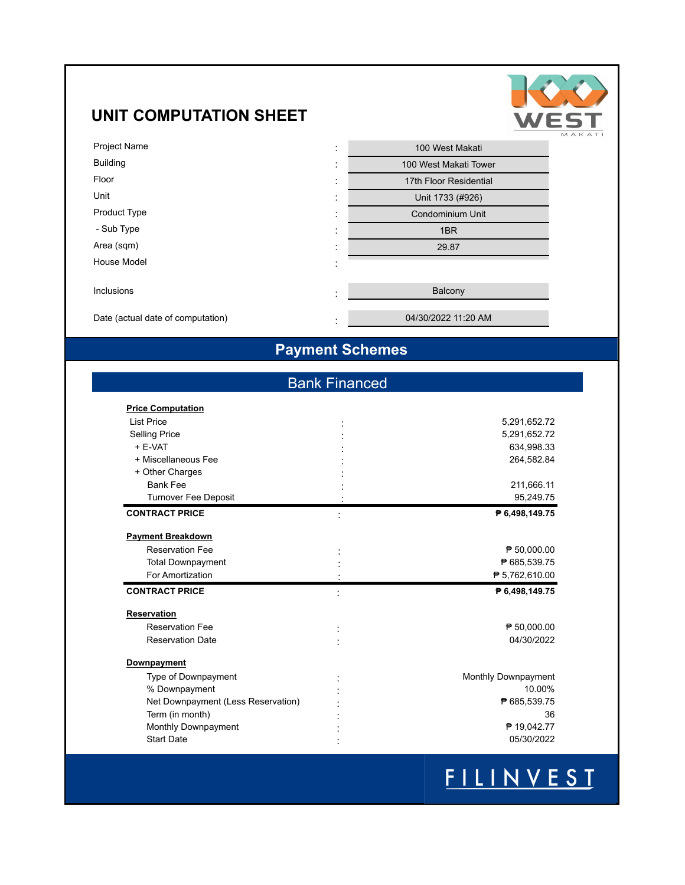### **UNIT COMPUTATION SHEET**



| <b>Project Name</b>               | 100 West Makati<br>٠<br>$\blacksquare$             |
|-----------------------------------|----------------------------------------------------|
| <b>Building</b>                   | 100 West Makati Tower<br>$\cdot$<br>$\blacksquare$ |
| Floor                             | 17th Floor Residential<br>٠<br>$\blacksquare$      |
| Unit                              | Unit 1733 (#926)<br>٠<br>$\blacksquare$            |
| <b>Product Type</b>               | Condominium Unit<br>٠<br>$\blacksquare$            |
| - Sub Type                        | 1BR<br>٠<br>$\blacksquare$                         |
| Area (sqm)                        | 29.87<br>$\cdot$<br>$\blacksquare$                 |
| House Model                       | $\cdot$<br>$\blacksquare$                          |
|                                   |                                                    |
| Inclusions                        | Balcony<br>٠<br>$\blacksquare$                     |
| Date (actual date of computation) | 04/30/2022 11:20 AM<br>$\cdot$                     |
|                                   |                                                    |

### **Payment Schemes**

### Bank Financed

| <b>Price Computation</b>           |                     |
|------------------------------------|---------------------|
| <b>List Price</b>                  | 5,291,652.72        |
| <b>Selling Price</b>               | 5,291,652.72        |
| $+$ F-VAT                          | 634,998.33          |
| + Miscellaneous Fee                | 264,582.84          |
| + Other Charges                    |                     |
| <b>Bank Fee</b>                    | 211,666.11          |
| <b>Turnover Fee Deposit</b>        | 95,249.75           |
| <b>CONTRACT PRICE</b>              | ₱ 6,498,149.75      |
| <b>Payment Breakdown</b>           |                     |
| <b>Reservation Fee</b>             | ₱ 50,000.00         |
| <b>Total Downpayment</b>           | ₱ 685,539.75        |
| For Amortization                   | ₱ 5,762,610.00      |
| <b>CONTRACT PRICE</b>              | ₱ 6,498,149.75      |
| <b>Reservation</b>                 |                     |
| <b>Reservation Fee</b>             | ₱ 50,000.00         |
| <b>Reservation Date</b>            | 04/30/2022          |
| Downpayment                        |                     |
| Type of Downpayment                | Monthly Downpayment |
| % Downpayment                      | 10.00%              |
| Net Downpayment (Less Reservation) | ₱ 685,539.75        |
| Term (in month)                    | 36                  |
| Monthly Downpayment                | ₱ 19,042.77         |
| <b>Start Date</b>                  | 05/30/2022          |
|                                    |                     |

# FILINVEST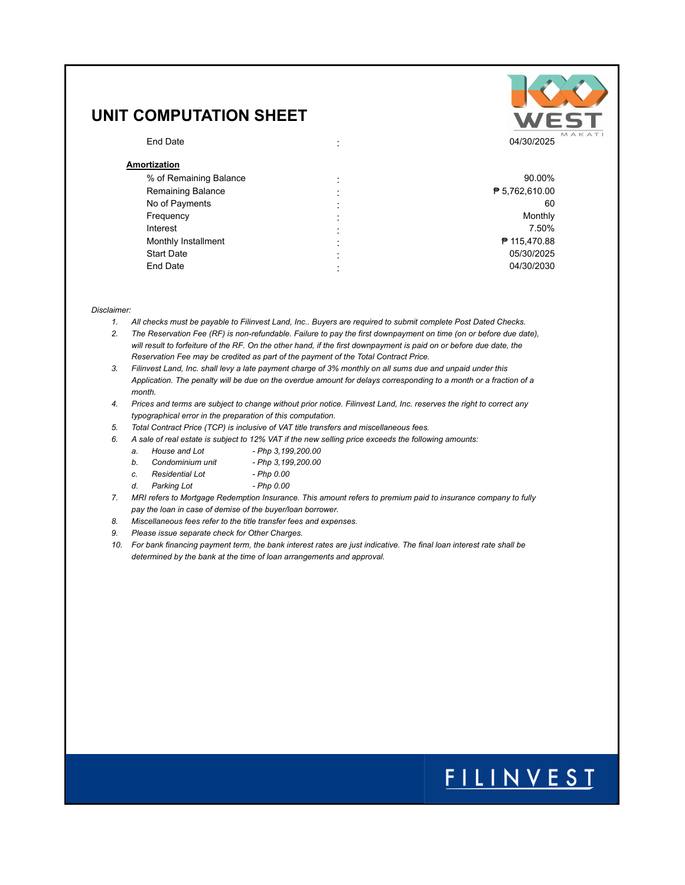### **UNIT COMPUTATION SHEET**

### **Amortization**

| ייטועצעוי                |   |                |
|--------------------------|---|----------------|
| % of Remaining Balance   |   | 90.00%         |
| <b>Remaining Balance</b> | ٠ | ₱ 5,762,610.00 |
| No of Payments           |   | 60             |
| Frequency                |   | Monthly        |
| Interest                 |   | 7.50%          |
| Monthly Installment      | ٠ | ₱ 115,470.88   |
| <b>Start Date</b>        |   | 05/30/2025     |
| End Date                 |   | 04/30/2030     |
|                          |   |                |

#### *Disclaimer:*

- *1. All checks must be payable to Filinvest Land, Inc.. Buyers are required to submit complete Post Dated Checks.*
- *2. The Reservation Fee (RF) is non-refundable. Failure to pay the first downpayment on time (on or before due date),*  will result to forfeiture of the RF. On the other hand, if the first downpayment is paid on or before due date, the *Reservation Fee may be credited as part of the payment of the Total Contract Price.*
- *3. Filinvest Land, Inc. shall levy a late payment charge of 3% monthly on all sums due and unpaid under this Application. The penalty will be due on the overdue amount for delays corresponding to a month or a fraction of a month.*
- *4. Prices and terms are subject to change without prior notice. Filinvest Land, Inc. reserves the right to correct any typographical error in the preparation of this computation.*
- *5. Total Contract Price (TCP) is inclusive of VAT title transfers and miscellaneous fees.*
- *6. A sale of real estate is subject to 12% VAT if the new selling price exceeds the following amounts:*
	- *a. House and Lot Php 3,199,200.00*
		- *b. Condominium unit Php 3,199,200.00*
	- *c. Residential Lot Php 0.00*
	- *d. Parking Lot Php 0.00*
- *7. MRI refers to Mortgage Redemption Insurance. This amount refers to premium paid to insurance company to fully pay the loan in case of demise of the buyer/loan borrower.*
- *8. Miscellaneous fees refer to the title transfer fees and expenses.*
- *9. Please issue separate check for Other Charges.*
- *10. For bank financing payment term, the bank interest rates are just indicative. The final loan interest rate shall be determined by the bank at the time of loan arrangements and approval.*



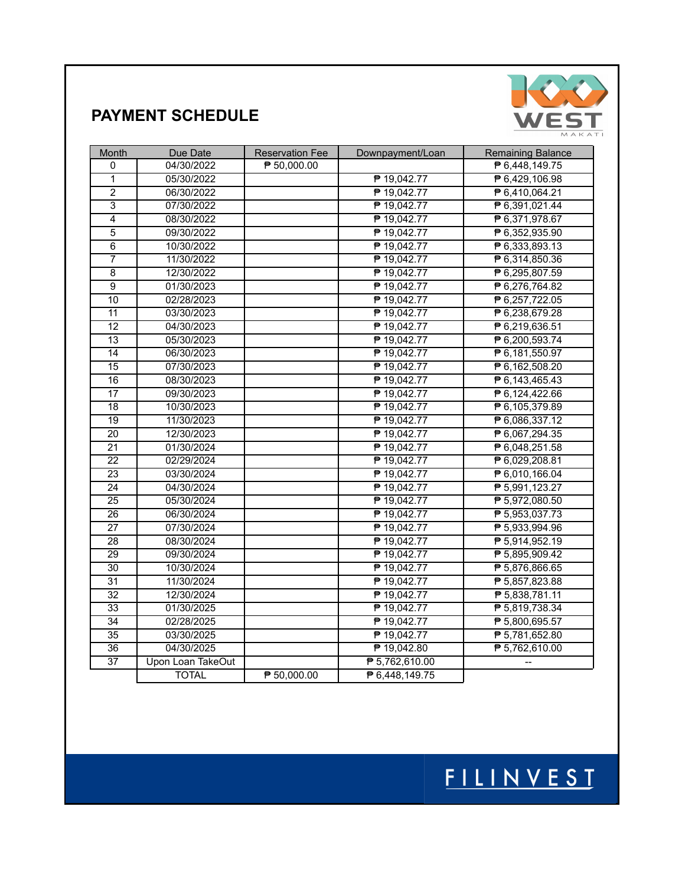

### **PAYMENT SCHEDULE**

| Month                     | Due Date          | <b>Reservation Fee</b> | Downpayment/Loan | Remaining Balance           |
|---------------------------|-------------------|------------------------|------------------|-----------------------------|
| 0                         | 04/30/2022        | ₱ 50,000.00            |                  | ₱ 6,448,149.75              |
| $\overline{1}$            | 05/30/2022        |                        | ₱ 19,042.77      | ₱ 6,429,106.98              |
| $\overline{2}$            | 06/30/2022        |                        | ₱ 19,042.77      | ₱ 6,410,064.21              |
| $\overline{\overline{3}}$ | 07/30/2022        |                        | ₱ 19,042.77      | ₱ 6,391,021.44              |
| $\overline{4}$            | 08/30/2022        |                        | ₱ 19,042.77      | ₱ 6,371,978.67              |
| $\overline{5}$            | 09/30/2022        |                        | ₱ 19,042.77      | ₱ 6,352,935.90              |
| $\overline{6}$            | 10/30/2022        |                        | ₱ 19,042.77      | ₱ 6,333,893.13              |
| $\overline{7}$            | 11/30/2022        |                        | ₱ 19,042.77      | ₱ 6,314,850.36              |
| $\overline{8}$            | 12/30/2022        |                        | ₱ 19,042.77      | ₱ 6,295,807.59              |
| $\overline{9}$            | 01/30/2023        |                        | ₱ 19,042.77      | ₱ 6,276,764.82              |
| $\overline{10}$           | 02/28/2023        |                        | ₱ 19,042.77      | ₱ 6,257,722.05              |
| 11                        | 03/30/2023        |                        | ₱ 19,042.77      | ₱ 6,238,679.28              |
| $\overline{12}$           | 04/30/2023        |                        | ₱ 19,042.77      | ₱ 6,219,636.51              |
| $\overline{13}$           | 05/30/2023        |                        | ₱ 19,042.77      | ₱ 6,200,593.74              |
| $\overline{14}$           | 06/30/2023        |                        | ₱ 19,042.77      | ₱ 6,181,550.97              |
| $\overline{15}$           | 07/30/2023        |                        | ₱ 19,042.77      | ₱ 6,162,508.20              |
| $\overline{16}$           | 08/30/2023        |                        | ₱ 19,042.77      | ₱ 6,143,465.43              |
| $\overline{17}$           | 09/30/2023        |                        | ₱ 19,042.77      | ₱ 6,124,422.66              |
| 18                        | 10/30/2023        |                        | ₱ 19,042.77      | ₱ 6,105,379.89              |
| $\overline{19}$           | 11/30/2023        |                        | ₱ 19,042.77      | ₱ 6,086,337.12              |
| $\overline{20}$           | 12/30/2023        |                        | ₱ 19,042.77      | ₱ 6,067,294.35              |
| $\overline{21}$           | 01/30/2024        |                        | ₱ 19,042.77      | ₱ 6,048,251.58              |
| 22                        | 02/29/2024        |                        | ₱ 19,042.77      | ₱ 6,029,208.81              |
| $\overline{23}$           | 03/30/2024        |                        | ₱ 19,042.77      | ₱ 6,010,166.04              |
| $\overline{24}$           | 04/30/2024        |                        | ₱ 19,042.77      | ₱ 5,991,123.27              |
| $\overline{25}$           | 05/30/2024        |                        | ₱ 19,042.77      | ₱ 5,972,080.50              |
| $\overline{26}$           | 06/30/2024        |                        | ₱ 19,042.77      | ₱ 5,953,037.73              |
| $\overline{27}$           | 07/30/2024        |                        | ₱ 19,042.77      | ₱ 5,933,994.96              |
| $\overline{28}$           | 08/30/2024        |                        | ₱ 19,042.77      | ₱ 5,914,952.19              |
| 29                        | 09/30/2024        |                        | ₱ 19,042.77      | ₱ 5,895,909.42              |
| $\overline{30}$           | 10/30/2024        |                        | ₱ 19,042.77      | ₱ 5,876,866.65              |
| $\overline{31}$           | 11/30/2024        |                        | ₱ 19,042.77      | $\overline{P}5,857,823.88$  |
| $\overline{32}$           | 12/30/2024        |                        | ₱ 19,042.77      | $\overline{P}$ 5,838,781.11 |
| 33                        | 01/30/2025        |                        | ₱ 19,042.77      | ₱ 5,819,738.34              |
| $\overline{34}$           | 02/28/2025        |                        | ₱ 19,042.77      | ₱ 5,800,695.57              |
| $\overline{35}$           | 03/30/2025        |                        | ₱ 19,042.77      | ₱ 5,781,652.80              |
| $\overline{36}$           | 04/30/2025        |                        | ₱ 19,042.80      | ₱ 5,762,610.00              |
| $\overline{37}$           | Upon Loan TakeOut |                        | ₱ 5,762,610.00   | ÷-                          |
|                           | <b>TOTAL</b>      | ₱ 50,000.00            | ₱ 6,448,149.75   |                             |

# FILINVEST